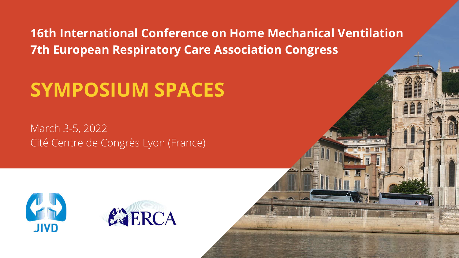**16th International Conference on Home Mechanical Ventilation 7th European Respiratory Care Association Congress**

# **SYMPOSIUM SPACES**

March 3-5, 2022 Cité Centre de Congrès Lyon (France)







 $\overline{u}$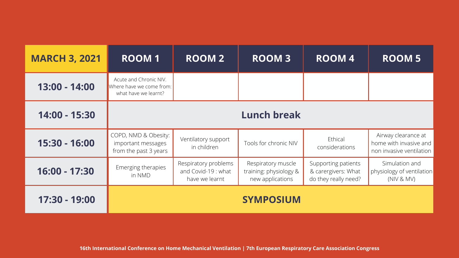| <b>MARCH 3, 2021</b> | <b>ROOM1</b>                                                               | <b>ROOM 2</b>                                                | <b>ROOM3</b>                                                     | <b>ROOM4</b>                                                       | <b>ROOM 5</b>                                                             |  |
|----------------------|----------------------------------------------------------------------------|--------------------------------------------------------------|------------------------------------------------------------------|--------------------------------------------------------------------|---------------------------------------------------------------------------|--|
| 13:00 - 14:00        | Acute and Chronic NIV.<br>Where have we come from:<br>what have we learnt? |                                                              |                                                                  |                                                                    |                                                                           |  |
| 14:00 - 15:30        | <b>Lunch break</b>                                                         |                                                              |                                                                  |                                                                    |                                                                           |  |
| 15:30 - 16:00        | COPD, NMD & Obesity:<br>important messages<br>from the past 3 years        | Ventilatory support<br>in children                           | Tools for chronic NIV                                            | Ethical<br>considerations                                          | Airway clearance at<br>home with invasive and<br>non invasive ventilation |  |
| 16:00 - 17:30        | Emerging therapies<br>in NMD                                               | Respiratory problems<br>and Covid-19: what<br>have we learnt | Respiratory muscle<br>training: physiology &<br>new applications | Supporting patients<br>& carergivers: What<br>do they really need? | Simulation and<br>physiology of ventilation<br>(NIV & MV)                 |  |
| 17:30 - 19:00        |                                                                            |                                                              | <b>SYMPOSIUM</b>                                                 |                                                                    |                                                                           |  |

**16th International Conference on Home Mechanical Ventilation | 7th European Respiratory Care Association Congress**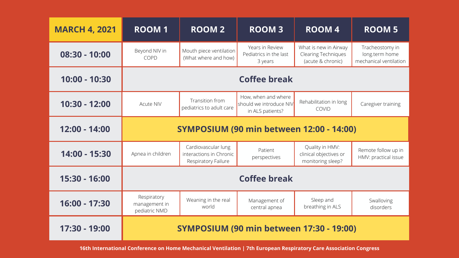| <b>MARCH 4, 2021</b> | <b>ROOM1</b>                                    | <b>ROOM 2</b>                                                         | <b>ROOM3</b>                                                       | <b>ROOM4</b>                                                             | <b>ROOM 5</b>                                               |  |
|----------------------|-------------------------------------------------|-----------------------------------------------------------------------|--------------------------------------------------------------------|--------------------------------------------------------------------------|-------------------------------------------------------------|--|
| 08:30 - 10:00        | Beyond NIV in<br><b>COPD</b>                    | Mouth piece ventilation<br>(What where and how)                       | Years in Review<br>Pediatrics in the last<br>3 years               | What is new in Airway<br><b>Clearing Techniques</b><br>(acute & chronic) | Tracheostomy in<br>long.term home<br>mechanical ventilation |  |
| 10:00 - 10:30        | <b>Coffee break</b>                             |                                                                       |                                                                    |                                                                          |                                                             |  |
| 10:30 - 12:00        | <b>Acute NIV</b>                                | Transition from<br>pediatrics to adult care                           | How, when and where<br>should we introduce NIV<br>in ALS patients? | Rehabilitation in long<br><b>COVID</b>                                   | Caregiver training                                          |  |
| 12:00 - 14:00        | <b>SYMPOSIUM (90 min between 12:00 - 14:00)</b> |                                                                       |                                                                    |                                                                          |                                                             |  |
| 14:00 - 15:30        | Apnea in children                               | Cardiovascular lung<br>interactions in Chronic<br>Respiratory Failure | Patient<br>perspectives                                            | Quality in HMV:<br>clinical objectives or<br>monitoring sleep?           | Remote follow up in<br>HMV: practical issue                 |  |
| 15:30 - 16:00        | <b>Coffee break</b>                             |                                                                       |                                                                    |                                                                          |                                                             |  |
| 16:00 - 17:30        | Respiratory<br>management in<br>pediatric NMD   | Weaning in the real<br>world                                          | Management of<br>central apnea                                     | Sleep and<br>breathing in ALS                                            | Swalloving<br>disorders                                     |  |
| 17:30 - 19:00        | <b>SYMPOSIUM (90 min between 17:30 - 19:00)</b> |                                                                       |                                                                    |                                                                          |                                                             |  |

**16th International Conference on Home Mechanical Ventilation | 7th European Respiratory Care Association Congress**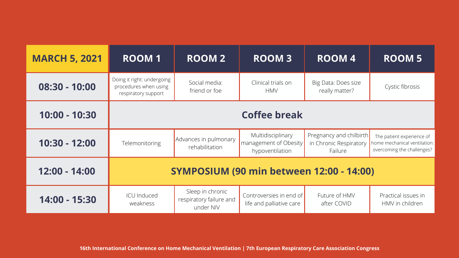| <b>MARCH 5, 2021</b> | <b>ROOM1</b>                                                               | <b>ROOM 2</b>                                            | <b>ROOM3</b>                                                  | <b>ROOM4</b>                                                 | <b>ROOM5</b>                                                                            |  |
|----------------------|----------------------------------------------------------------------------|----------------------------------------------------------|---------------------------------------------------------------|--------------------------------------------------------------|-----------------------------------------------------------------------------------------|--|
| 08:30 - 10:00        | Doing it right: undergoing<br>procedures when using<br>respiratory support | Social media:<br>friend or foe                           | Clinical trials on<br><b>HMV</b>                              | Big Data: Does size<br>really matter?                        | Cystic fibrosis                                                                         |  |
| 10:00 - 10:30        | <b>Coffee break</b>                                                        |                                                          |                                                               |                                                              |                                                                                         |  |
| 10:30 - 12:00        | Telemonitoring                                                             | Advances in pulmonary<br>rehabilitation                  | Multidisciplinary<br>management of Obesity<br>hypoventilation | Pregnancy and chilbirth<br>in Chronic Respiratory<br>Failure | The patient experience of<br>home mechanical ventilation:<br>overcoming the challenges? |  |
| 12:00 - 14:00        | <b>SYMPOSIUM (90 min between 12:00 - 14:00)</b>                            |                                                          |                                                               |                                                              |                                                                                         |  |
| 14:00 - 15:30        | <b>ICU</b> Induced<br>weakness                                             | Sleep in chronic<br>respiratory failure and<br>under NIV | Controversies in end of<br>life and palliative care           | Future of HMV<br>after COVID                                 | Practical issues in<br>HMV in children                                                  |  |